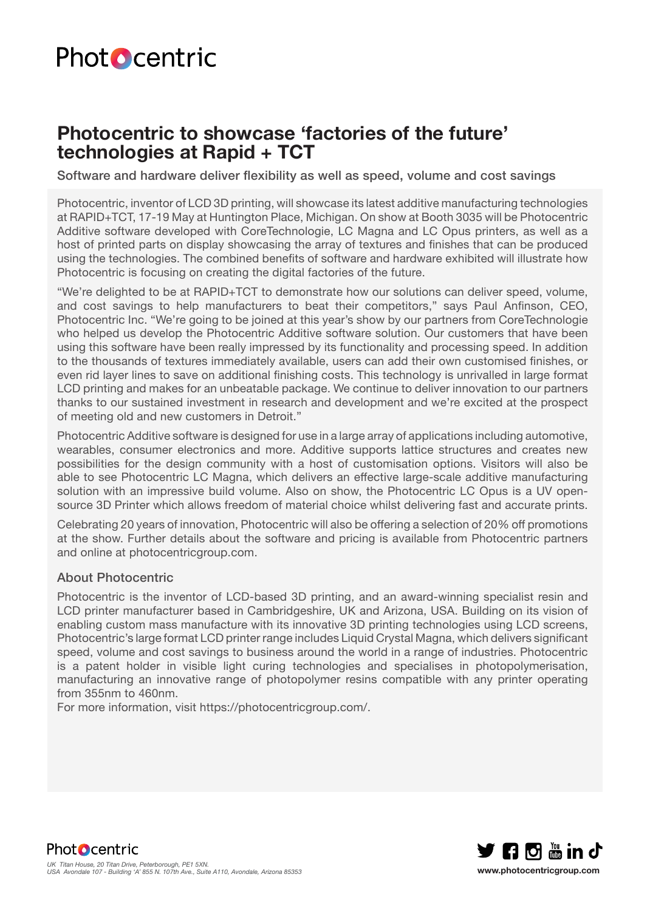# **Photocentric**

## **Photocentric to showcase 'factories of the future' technologies at Rapid + TCT**

Software and hardware deliver flexibility as well as speed, volume and cost savings

Photocentric, inventor of LCD 3D printing, will showcase its latest additive manufacturing technologies at RAPID+TCT, 17-19 May at Huntington Place, Michigan. On show at Booth 3035 will be Photocentric Additive software developed with CoreTechnologie, LC Magna and LC Opus printers, as well as a host of printed parts on display showcasing the array of textures and finishes that can be produced using the technologies. The combined benefits of software and hardware exhibited will illustrate how Photocentric is focusing on creating the digital factories of the future.

"We're delighted to be at RAPID+TCT to demonstrate how our solutions can deliver speed, volume, and cost savings to help manufacturers to beat their competitors," says Paul Anfinson, CEO, Photocentric Inc. "We're going to be joined at this year's show by our partners from CoreTechnologie who helped us develop the Photocentric Additive software solution. Our customers that have been using this software have been really impressed by its functionality and processing speed. In addition to the thousands of textures immediately available, users can add their own customised finishes, or even rid layer lines to save on additional finishing costs. This technology is unrivalled in large format LCD printing and makes for an unbeatable package. We continue to deliver innovation to our partners thanks to our sustained investment in research and development and we're excited at the prospect of meeting old and new customers in Detroit."

Photocentric Additive software is designed for use in a large array of applications including automotive, wearables, consumer electronics and more. Additive supports lattice structures and creates new possibilities for the design community with a host of customisation options. Visitors will also be able to see Photocentric LC Magna, which delivers an effective large-scale additive manufacturing solution with an impressive build volume. Also on show, the Photocentric LC Opus is a UV opensource 3D Printer which allows freedom of material choice whilst delivering fast and accurate prints.

Celebrating 20 years of innovation, Photocentric will also be offering a selection of 20% off promotions at the show. Further details about the software and pricing is available from Photocentric partners and online at photocentricgroup.com.

### About Photocentric

Photocentric is the inventor of LCD-based 3D printing, and an award-winning specialist resin and LCD printer manufacturer based in Cambridgeshire, UK and Arizona, USA. Building on its vision of enabling custom mass manufacture with its innovative 3D printing technologies using LCD screens, Photocentric's large format LCD printer range includes Liquid Crystal Magna, which delivers significant speed, volume and cost savings to business around the world in a range of industries. Photocentric is a patent holder in visible light curing technologies and specialises in photopolymerisation, manufacturing an innovative range of photopolymer resins compatible with any printer operating from 355nm to 460nm.

For more information, visit https://photocentricgroup.com/.